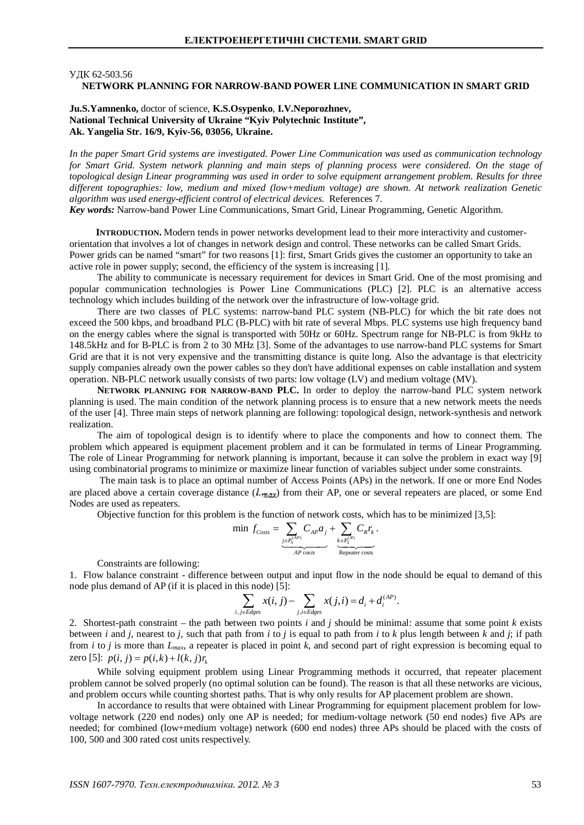### ɍȾɄ 62-503.56

# **NETWORK PLANNING FOR NARROW-BAND POWER LINE COMMUNICATION IN SMART GRID**

## **Ju.S.Yamnenko,** doctor of science, **K.S.Osypenko**, **I.V.Neporozhnev, National Technical University of Ukraine "Kyiv Polytechnic Institute", Ak. Yangelia Str. 16/9, Kyiv-56, 03056, Ukraine.**

*In the paper Smart Grid systems are investigated. Power Line Communication was used as communication technology for Smart Grid. System network planning and main steps of planning process were considered. On the stage of topological design Linear programming was used in order to solve equipment arrangement problem. Results for three different topographies: low, medium and mixed (low+medium voltage) are shown. At network realization Genetic algorithm was used energy-efficient control of electrical devices.* References 7.

*Key words:* Narrow-band Power Line Communications, Smart Grid, Linear Programming, Genetic Algorithm.

**INTRODUCTION.** Modern tends in power networks development lead to their more interactivity and customerorientation that involves a lot of changes in network design and control. These networks can be called Smart Grids. Power grids can be named "smart" for two reasons [1]: first, Smart Grids gives the customer an opportunity to take an active role in power supply; second, the efficiency of the system is increasing [1].

The ability to communicate is necessary requirement for devices in Smart Grid. One of the most promising and popular communication technologies is Power Line Communications (PLC) [2]. PLC is an alternative access technology which includes building of the network over the infrastructure of low-voltage grid.

There are two classes of PLC systems: narrow-band PLC system (NB-PLC) for which the bit rate does not exceed the 500 kbps, and broadband PLC (B-PLC) with bit rate of several Mbps. PLC systems use high frequency band on the energy cables where the signal is transported with 50Hz or 60Hz. Spectrum range for NB-PLC is from 9kHz to 148.5kHz and for B-PLC is from 2 to 30 MHz [3]. Some of the advantages to use narrow-band PLC systems for Smart Grid are that it is not very expensive and the transmitting distance is quite long. Also the advantage is that electricity supply companies already own the power cables so they don't have additional expenses on cable installation and system operation. NB-PLC network usually consists of two parts: low voltage (LV) and medium voltage (MV).

**NETWORK PLANNING FOR NARROW-BAND PLC.** In order to deploy the narrow-band PLC system network planning is used. The main condition of the network planning process is to ensure that a new network meets the needs of the user [4]. Three main steps of network planning are following: topological design, network-synthesis and network realization.

The aim of topological design is to identify where to place the components and how to connect them. The problem which appeared is equipment placement problem and it can be formulated in terms of Linear Programming. The role of Linear Programming for network planning is important, because it can solve the problem in exact way [9] using combinatorial programs to minimize or maximize linear function of variables subject under some constraints.

 The main task is to place an optimal number of Access Points (APs) in the network. If one or more End Nodes are placed above a certain coverage distance  $(L_{max})$  from their AP, one or several repeaters are placed, or some End Nodes are used as repeaters.

Objective function for this problem is the function of network costs, which has to be minimized [3,5]:

$$
\min f_{\text{Costs}} = \underbrace{\sum_{j \in P_S^{(AP)}} C_{AP} a_j}_{AP \text{ costs}} + \underbrace{\sum_{k \in P_S^{(R)}} C_R r_k}_{\text{Repeater costs}}.
$$

Constraints are following:

1. Flow balance constraint - difference between output and input flow in the node should be equal to demand of this node plus demand of AP (if it is placed in this node) [5]:

$$
\sum_{i,j\in Edges} x(i,j) - \sum_{j,i\in Edges} x(j,i) = d_i + d_i^{(AP)}.
$$

2. Shortest-path constraint – the path between two points *i* and *j* should be minimal: assume that some point *k* exists between *i* and *j*, nearest to *j*, such that path from *i* to *j* is equal to path from *i* to *k* plus length between *k* and *j*; if path from *i* to *j* is more than *Lmax*, a repeater is placed in point *k*, and second part of right expression is becoming equal to zero [5]:  $p(i, j) = p(i, k) + l(k, j)r_k$ 

While solving equipment problem using Linear Programming methods it occurred, that repeater placement problem cannot be solved properly (no optimal solution can be found). The reason is that all these networks are vicious, and problem occurs while counting shortest paths. That is why only results for AP placement problem are shown.

In accordance to results that were obtained with Linear Programming for equipment placement problem for lowvoltage network (220 end nodes) only one AP is needed; for medium-voltage network (50 end nodes) five APs are needed; for combined (low+medium voltage) network (600 end nodes) three APs should be placed with the costs of 100, 500 and 300 rated cost units respectively.